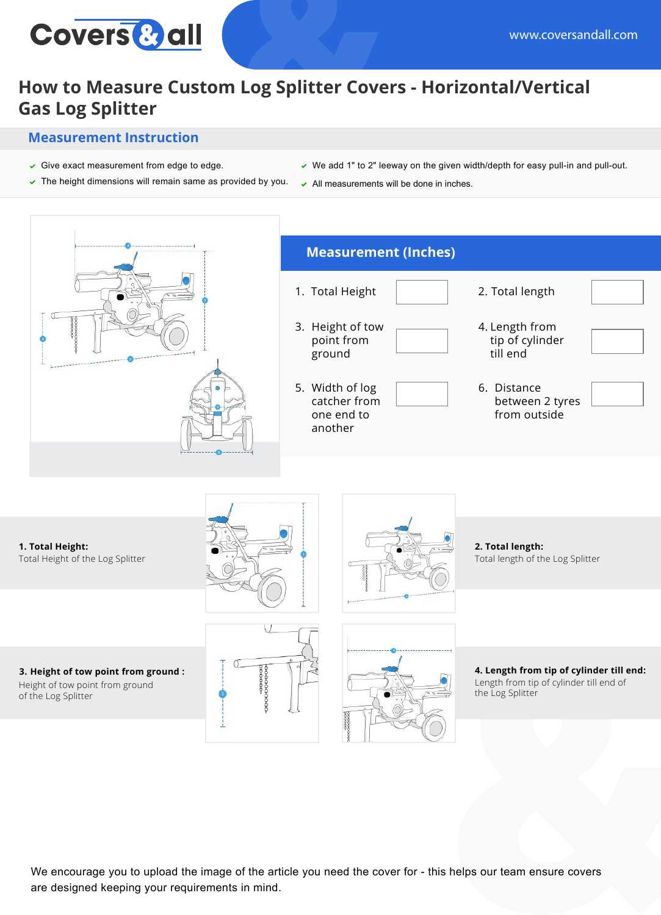

## **How to Measure Custom Log Splitter Covers - Horizontal/Vertical Gas Log Splitter**

## **Measurement Instruction**

- $\checkmark$  Give exact measurement from edge to edge.
- $\triangledown$  The height dimensions will remain same as provided by you.
- $\vee$  We add 1" to 2" leeway on the given width/depth for easy pull-in and pull-out.
- $\sim$  All measurements will be done in inches.



We encourage you to upload the image of the article you need the cover for - this helps our team ensure covers are designed keeping your requirements in mind.